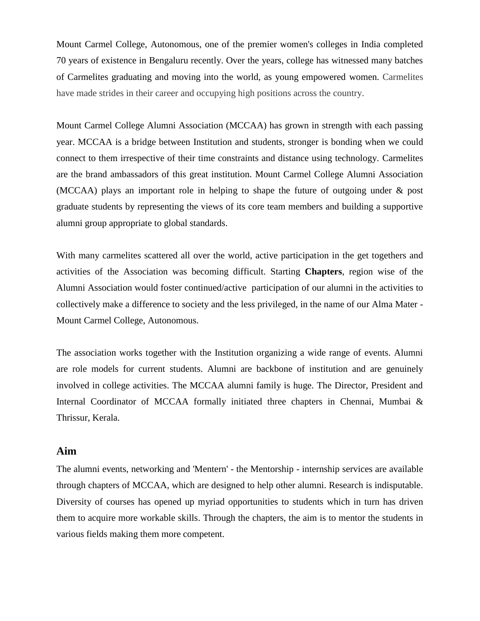Mount Carmel College, Autonomous, one of the premier women's colleges in India completed 70 years of existence in Bengaluru recently. Over the years, college has witnessed many batches of Carmelites graduating and moving into the world, as young empowered women. Carmelites have made strides in their career and occupying high positions across the country.

Mount Carmel College Alumni Association (MCCAA) has grown in strength with each passing year. MCCAA is a bridge between Institution and students, stronger is bonding when we could connect to them irrespective of their time constraints and distance using technology. Carmelites are the brand ambassadors of this great institution. Mount Carmel College Alumni Association (MCCAA) plays an important role in helping to shape the future of outgoing under & post graduate students by representing the views of its core team members and building a supportive alumni group appropriate to global standards.

With many carmelites scattered all over the world, active participation in the get togethers and activities of the Association was becoming difficult. Starting **Chapters**, region wise of the Alumni Association would foster continued/active participation of our alumni in the activities to collectively make a difference to society and the less privileged, in the name of our Alma Mater - Mount Carmel College, Autonomous.

The association works together with the Institution organizing a wide range of events. Alumni are role models for current students. Alumni are backbone of institution and are genuinely involved in college activities. The MCCAA alumni family is huge. The Director, President and Internal Coordinator of MCCAA formally initiated three chapters in Chennai, Mumbai & Thrissur, Kerala.

## **Aim**

The alumni events, networking and 'Mentern' - the Mentorship - internship services are available through chapters of MCCAA, which are designed to help other alumni. Research is indisputable. Diversity of courses has opened up myriad opportunities to students which in turn has driven them to acquire more workable skills. Through the chapters, the aim is to mentor the students in various fields making them more competent.